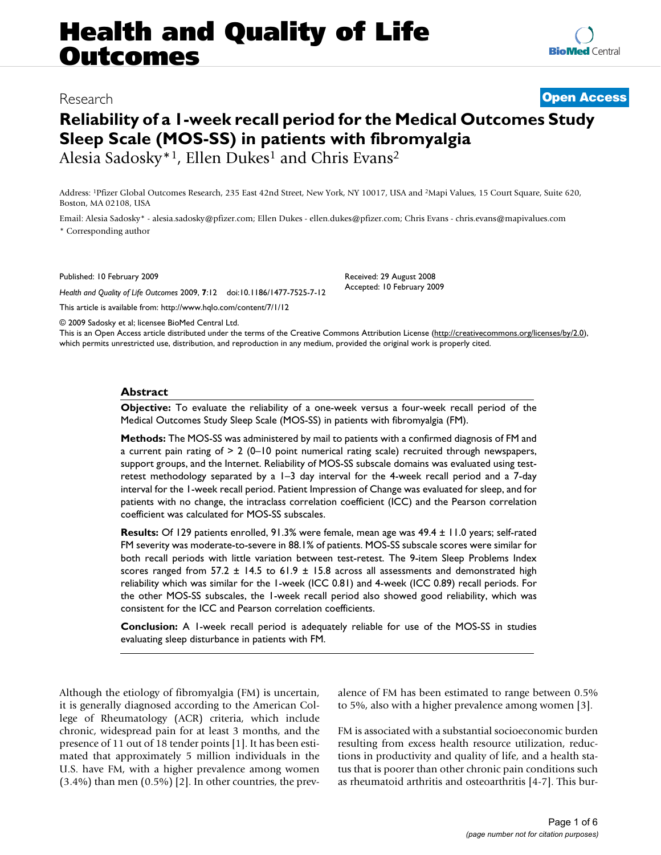# **Health and Quality of Life Outcomes**

## Research **[Open Access](http://www.biomedcentral.com/info/about/charter/)**

# **Reliability of a 1-week recall period for the Medical Outcomes Study Sleep Scale (MOS-SS) in patients with fibromyalgia** Alesia Sadosky<sup>\*1</sup>, Ellen Dukes<sup>1</sup> and Chris Evans<sup>2</sup>

Address: 1Pfizer Global Outcomes Research, 235 East 42nd Street, New York, NY 10017, USA and 2Mapi Values, 15 Court Square, Suite 620, Boston, MA 02108, USA

Email: Alesia Sadosky\* - alesia.sadosky@pfizer.com; Ellen Dukes - ellen.dukes@pfizer.com; Chris Evans - chris.evans@mapivalues.com \* Corresponding author

Published: 10 February 2009

*Health and Quality of Life Outcomes* 2009, **7**:12 doi:10.1186/1477-7525-7-12

[This article is available from: http://www.hqlo.com/content/7/1/12](http://www.hqlo.com/content/7/1/12)

© 2009 Sadosky et al; licensee BioMed Central Ltd.

This is an Open Access article distributed under the terms of the Creative Commons Attribution License [\(http://creativecommons.org/licenses/by/2.0\)](http://creativecommons.org/licenses/by/2.0), which permits unrestricted use, distribution, and reproduction in any medium, provided the original work is properly cited.

Received: 29 August 2008 Accepted: 10 February 2009

#### **Abstract**

**Objective:** To evaluate the reliability of a one-week versus a four-week recall period of the Medical Outcomes Study Sleep Scale (MOS-SS) in patients with fibromyalgia (FM).

**Methods:** The MOS-SS was administered by mail to patients with a confirmed diagnosis of FM and a current pain rating of  $> 2$  (0-10 point numerical rating scale) recruited through newspapers, support groups, and the Internet. Reliability of MOS-SS subscale domains was evaluated using testretest methodology separated by a 1–3 day interval for the 4-week recall period and a 7-day interval for the 1-week recall period. Patient Impression of Change was evaluated for sleep, and for patients with no change, the intraclass correlation coefficient (ICC) and the Pearson correlation coefficient was calculated for MOS-SS subscales.

**Results:** Of 129 patients enrolled, 91.3% were female, mean age was 49.4 ± 11.0 years; self-rated FM severity was moderate-to-severe in 88.1% of patients. MOS-SS subscale scores were similar for both recall periods with little variation between test-retest. The 9-item Sleep Problems Index scores ranged from  $57.2 \pm 14.5$  to  $61.9 \pm 15.8$  across all assessments and demonstrated high reliability which was similar for the 1-week (ICC 0.81) and 4-week (ICC 0.89) recall periods. For the other MOS-SS subscales, the 1-week recall period also showed good reliability, which was consistent for the ICC and Pearson correlation coefficients.

**Conclusion:** A 1-week recall period is adequately reliable for use of the MOS-SS in studies evaluating sleep disturbance in patients with FM.

Although the etiology of fibromyalgia (FM) is uncertain, it is generally diagnosed according to the American College of Rheumatology (ACR) criteria, which include chronic, widespread pain for at least 3 months, and the presence of 11 out of 18 tender points [\[1\]](#page-4-0). It has been estimated that approximately 5 million individuals in the U.S. have FM, with a higher prevalence among women  $(3.4\%)$  than men  $(0.5\%)$  [[2](#page-4-1)]. In other countries, the prevalence of FM has been estimated to range between 0.5% to 5%, also with a higher prevalence among women [[3](#page-4-2)].

FM is associated with a substantial socioeconomic burden resulting from excess health resource utilization, reductions in productivity and quality of life, and a health status that is poorer than other chronic pain conditions such as rheumatoid arthritis and osteoarthritis [\[4-](#page-4-3)[7](#page-4-4)]. This bur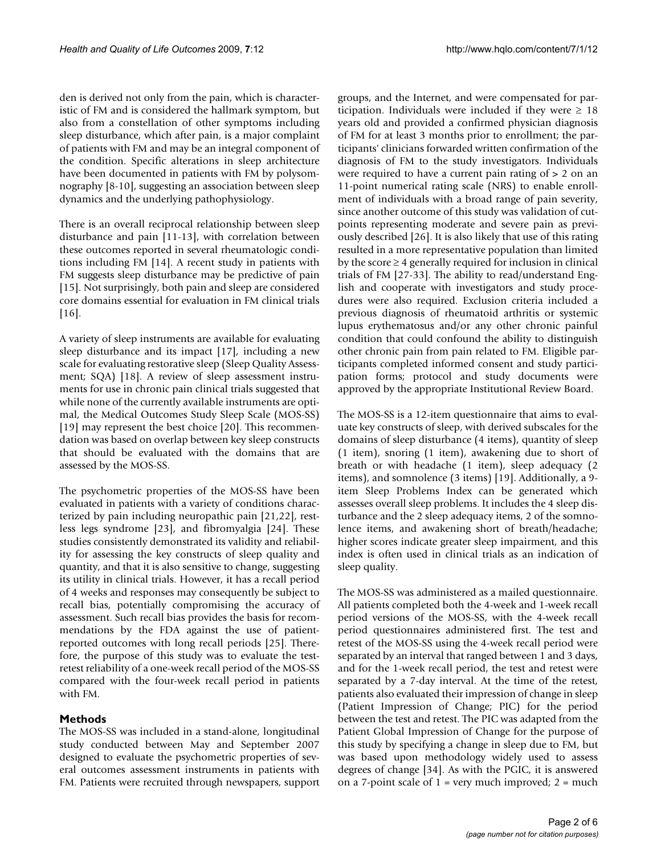den is derived not only from the pain, which is characteristic of FM and is considered the hallmark symptom, but also from a constellation of other symptoms including sleep disturbance, which after pain, is a major complaint of patients with FM and may be an integral component of the condition. Specific alterations in sleep architecture have been documented in patients with FM by polysomnography [\[8-](#page-4-5)[10\]](#page-4-6), suggesting an association between sleep dynamics and the underlying pathophysiology.

There is an overall reciprocal relationship between sleep disturbance and pain [[11-](#page-4-7)[13\]](#page-4-8), with correlation between these outcomes reported in several rheumatologic conditions including FM [[14](#page-4-9)]. A recent study in patients with FM suggests sleep disturbance may be predictive of pain [[15](#page-4-10)]. Not surprisingly, both pain and sleep are considered core domains essential for evaluation in FM clinical trials [[16](#page-4-11)].

A variety of sleep instruments are available for evaluating sleep disturbance and its impact [\[17](#page-4-12)], including a new scale for evaluating restorative sleep (Sleep Quality Assessment; SQA) [\[18\]](#page-4-13). A review of sleep assessment instruments for use in chronic pain clinical trials suggested that while none of the currently available instruments are optimal, the Medical Outcomes Study Sleep Scale (MOS-SS) [[19](#page-4-14)] may represent the best choice [[20](#page-4-15)]. This recommendation was based on overlap between key sleep constructs that should be evaluated with the domains that are assessed by the MOS-SS.

The psychometric properties of the MOS-SS have been evaluated in patients with a variety of conditions characterized by pain including neuropathic pain [\[21](#page-4-16)[,22](#page-4-17)], restless legs syndrome [\[23\]](#page-4-18), and fibromyalgia [[24](#page-4-19)]. These studies consistently demonstrated its validity and reliability for assessing the key constructs of sleep quality and quantity, and that it is also sensitive to change, suggesting its utility in clinical trials. However, it has a recall period of 4 weeks and responses may consequently be subject to recall bias, potentially compromising the accuracy of assessment. Such recall bias provides the basis for recommendations by the FDA against the use of patientreported outcomes with long recall periods [\[25\]](#page-4-20). Therefore, the purpose of this study was to evaluate the testretest reliability of a one-week recall period of the MOS-SS compared with the four-week recall period in patients with FM.

#### **Methods**

The MOS-SS was included in a stand-alone, longitudinal study conducted between May and September 2007 designed to evaluate the psychometric properties of several outcomes assessment instruments in patients with FM. Patients were recruited through newspapers, support

groups, and the Internet, and were compensated for participation. Individuals were included if they were  $\geq 18$ years old and provided a confirmed physician diagnosis of FM for at least 3 months prior to enrollment; the participants' clinicians forwarded written confirmation of the diagnosis of FM to the study investigators. Individuals were required to have a current pain rating of > 2 on an 11-point numerical rating scale (NRS) to enable enrollment of individuals with a broad range of pain severity, since another outcome of this study was validation of cutpoints representing moderate and severe pain as previously described [[26\]](#page-4-21). It is also likely that use of this rating resulted in a more representative population than limited by the score  $\geq 4$  generally required for inclusion in clinical trials of FM [[27](#page-4-22)-[33](#page-4-23)]. The ability to read/understand English and cooperate with investigators and study procedures were also required. Exclusion criteria included a previous diagnosis of rheumatoid arthritis or systemic lupus erythematosus and/or any other chronic painful condition that could confound the ability to distinguish other chronic pain from pain related to FM. Eligible participants completed informed consent and study participation forms; protocol and study documents were approved by the appropriate Institutional Review Board.

The MOS-SS is a 12-item questionnaire that aims to evaluate key constructs of sleep, with derived subscales for the domains of sleep disturbance (4 items), quantity of sleep (1 item), snoring (1 item), awakening due to short of breath or with headache (1 item), sleep adequacy (2 items), and somnolence (3 items) [[19](#page-4-14)]. Additionally, a 9 item Sleep Problems Index can be generated which assesses overall sleep problems. It includes the 4 sleep disturbance and the 2 sleep adequacy items, 2 of the somnolence items, and awakening short of breath/headache; higher scores indicate greater sleep impairment, and this index is often used in clinical trials as an indication of sleep quality.

The MOS-SS was administered as a mailed questionnaire. All patients completed both the 4-week and 1-week recall period versions of the MOS-SS, with the 4-week recall period questionnaires administered first. The test and retest of the MOS-SS using the 4-week recall period were separated by an interval that ranged between 1 and 3 days, and for the 1-week recall period, the test and retest were separated by a 7-day interval. At the time of the retest, patients also evaluated their impression of change in sleep (Patient Impression of Change; PIC) for the period between the test and retest. The PIC was adapted from the Patient Global Impression of Change for the purpose of this study by specifying a change in sleep due to FM, but was based upon methodology widely used to assess degrees of change [\[34](#page-5-0)]. As with the PGIC, it is answered on a 7-point scale of  $1 = \text{very much improved}$ ;  $2 = \text{much}$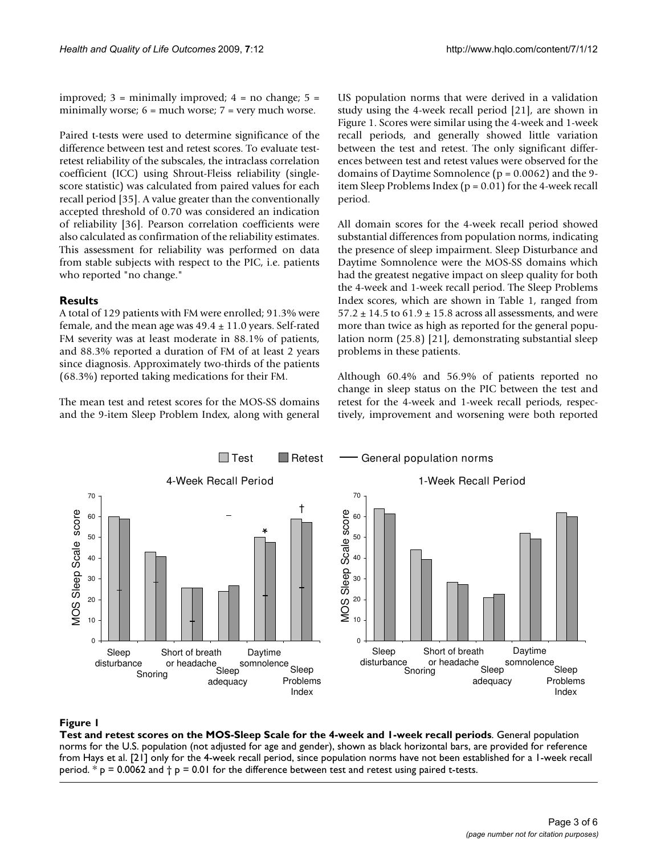improved;  $3 =$  minimally improved;  $4 =$  no change;  $5 =$ minimally worse;  $6 =$  much worse;  $7 =$  very much worse.

Paired t-tests were used to determine significance of the difference between test and retest scores. To evaluate testretest reliability of the subscales, the intraclass correlation coefficient (ICC) using Shrout-Fleiss reliability (singlescore statistic) was calculated from paired values for each recall period [\[35](#page-5-1)]. A value greater than the conventionally accepted threshold of 0.70 was considered an indication of reliability [\[36\]](#page-5-2). Pearson correlation coefficients were also calculated as confirmation of the reliability estimates. This assessment for reliability was performed on data from stable subjects with respect to the PIC, i.e. patients who reported "no change."

#### **Results**

A total of 129 patients with FM were enrolled; 91.3% were female, and the mean age was  $49.4 \pm 11.0$  years. Self-rated FM severity was at least moderate in 88.1% of patients, and 88.3% reported a duration of FM of at least 2 years since diagnosis. Approximately two-thirds of the patients (68.3%) reported taking medications for their FM.

The mean test and retest scores for the MOS-SS domains and the 9-item Sleep Problem Index, along with general

US population norms that were derived in a validation study using the 4-week recall period [[21\]](#page-4-16), are shown in Figure [1.](#page-2-0) Scores were similar using the 4-week and 1-week recall periods, and generally showed little variation between the test and retest. The only significant differences between test and retest values were observed for the domains of Daytime Somnolence ( $p = 0.0062$ ) and the 9item Sleep Problems Index (p = 0.01) for the 4-week recall period.

All domain scores for the 4-week recall period showed substantial differences from population norms, indicating the presence of sleep impairment. Sleep Disturbance and Daytime Somnolence were the MOS-SS domains which had the greatest negative impact on sleep quality for both the 4-week and 1-week recall period. The Sleep Problems Index scores, which are shown in Table [1,](#page-3-0) ranged from  $57.2 \pm 14.5$  to  $61.9 \pm 15.8$  across all assessments, and were more than twice as high as reported for the general population norm (25.8) [\[21\]](#page-4-16), demonstrating substantial sleep problems in these patients.

Although 60.4% and 56.9% of patients reported no change in sleep status on the PIC between the test and retest for the 4-week and 1-week recall periods, respectively, improvement and worsening were both reported

<span id="page-2-0"></span>

### Test and retest scores on the MOS-Sleep Scal **Figure 1** e for the 4-week and 1-week recall periods

**Test and retest scores on the MOS-Sleep Scale for the 4-week and 1-week recall periods**. General population norms for the U.S. population (not adjusted for age and gender), shown as black horizontal bars, are provided for reference from Hays et al. [\[21\]](#page-4-16) only for the 4-week recall period, since population norms have not been established for a 1-week recall period. \*  $p = 0.0062$  and  $\dagger p = 0.01$  for the difference between test and retest using paired t-tests.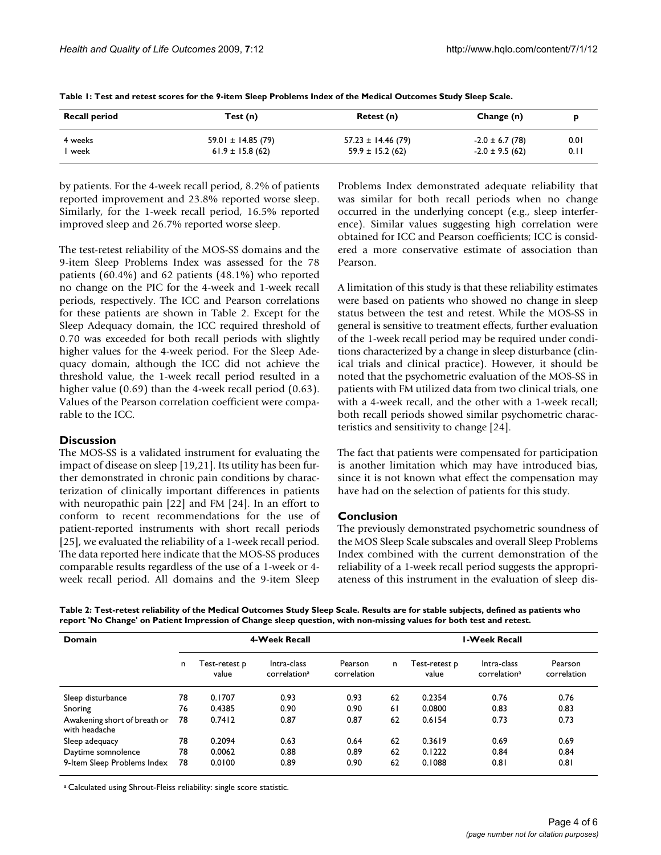| <b>Recall period</b> | Test (n)              | Retest (n)<br>Change (n) |                     |      |  |  |
|----------------------|-----------------------|--------------------------|---------------------|------|--|--|
| 4 weeks              | $59.01 \pm 14.85(79)$ | $57.23 \pm 14.46$ (79)   | $-2.0 \pm 6.7$ (78) | 0.01 |  |  |
| week                 | $61.9 \pm 15.8$ (62)  | $59.9 \pm 15.2$ (62)     | $-2.0 \pm 9.5(62)$  | 0.11 |  |  |

<span id="page-3-0"></span>**Table 1: Test and retest scores for the 9-item Sleep Problems Index of the Medical Outcomes Study Sleep Scale.**

by patients. For the 4-week recall period, 8.2% of patients reported improvement and 23.8% reported worse sleep. Similarly, for the 1-week recall period, 16.5% reported improved sleep and 26.7% reported worse sleep.

The test-retest reliability of the MOS-SS domains and the 9-item Sleep Problems Index was assessed for the 78 patients (60.4%) and 62 patients (48.1%) who reported no change on the PIC for the 4-week and 1-week recall periods, respectively. The ICC and Pearson correlations for these patients are shown in Table [2.](#page-3-1) Except for the Sleep Adequacy domain, the ICC required threshold of 0.70 was exceeded for both recall periods with slightly higher values for the 4-week period. For the Sleep Adequacy domain, although the ICC did not achieve the threshold value, the 1-week recall period resulted in a higher value (0.69) than the 4-week recall period (0.63). Values of the Pearson correlation coefficient were comparable to the ICC.

#### **Discussion**

The MOS-SS is a validated instrument for evaluating the impact of disease on sleep [[19,](#page-4-14)[21\]](#page-4-16). Its utility has been further demonstrated in chronic pain conditions by characterization of clinically important differences in patients with neuropathic pain [[22](#page-4-17)] and FM [[24\]](#page-4-19). In an effort to conform to recent recommendations for the use of patient-reported instruments with short recall periods [[25](#page-4-20)], we evaluated the reliability of a 1-week recall period. The data reported here indicate that the MOS-SS produces comparable results regardless of the use of a 1-week or 4 week recall period. All domains and the 9-item Sleep Problems Index demonstrated adequate reliability that was similar for both recall periods when no change occurred in the underlying concept (e.g., sleep interference). Similar values suggesting high correlation were obtained for ICC and Pearson coefficients; ICC is considered a more conservative estimate of association than Pearson.

A limitation of this study is that these reliability estimates were based on patients who showed no change in sleep status between the test and retest. While the MOS-SS in general is sensitive to treatment effects, further evaluation of the 1-week recall period may be required under conditions characterized by a change in sleep disturbance (clinical trials and clinical practice). However, it should be noted that the psychometric evaluation of the MOS-SS in patients with FM utilized data from two clinical trials, one with a 4-week recall, and the other with a 1-week recall; both recall periods showed similar psychometric characteristics and sensitivity to change [[24\]](#page-4-19).

The fact that patients were compensated for participation is another limitation which may have introduced bias, since it is not known what effect the compensation may have had on the selection of patients for this study.

#### **Conclusion**

The previously demonstrated psychometric soundness of the MOS Sleep Scale subscales and overall Sleep Problems Index combined with the current demonstration of the reliability of a 1-week recall period suggests the appropriateness of this instrument in the evaluation of sleep dis-

<span id="page-3-1"></span>**Table 2: Test-retest reliability of the Medical Outcomes Study Sleep Scale. Results are for stable subjects, defined as patients who report 'No Change' on Patient Impression of Change sleep question, with non-missing values for both test and retest.**

| Domain                                        | <b>4-Week Recall</b> |                        |                                         | <b>I-Week Recall</b>   |    |                        |                                         |                        |
|-----------------------------------------------|----------------------|------------------------|-----------------------------------------|------------------------|----|------------------------|-----------------------------------------|------------------------|
|                                               | n                    | Test-retest p<br>value | Intra-class<br>correlation <sup>a</sup> | Pearson<br>correlation | n. | Test-retest p<br>value | Intra-class<br>correlation <sup>a</sup> | Pearson<br>correlation |
| Sleep disturbance                             | 78                   | 0.1707                 | 0.93                                    | 0.93                   | 62 | 0.2354                 | 0.76                                    | 0.76                   |
| Snoring                                       | 76                   | 0.4385                 | 0.90                                    | 0.90                   | 61 | 0.0800                 | 0.83                                    | 0.83                   |
| Awakening short of breath or<br>with headache | 78                   | 0.7412                 | 0.87                                    | 0.87                   | 62 | 0.6154                 | 0.73                                    | 0.73                   |
| Sleep adequacy                                | 78                   | 0.2094                 | 0.63                                    | 0.64                   | 62 | 0.3619                 | 0.69                                    | 0.69                   |
| Daytime somnolence                            | 78                   | 0.0062                 | 0.88                                    | 0.89                   | 62 | 0.1222                 | 0.84                                    | 0.84                   |
| 9-Item Sleep Problems Index                   | 78                   | 0.0100                 | 0.89                                    | 0.90                   | 62 | 0.1088                 | 0.81                                    | 0.81                   |

a Calculated using Shrout-Fleiss reliability: single score statistic.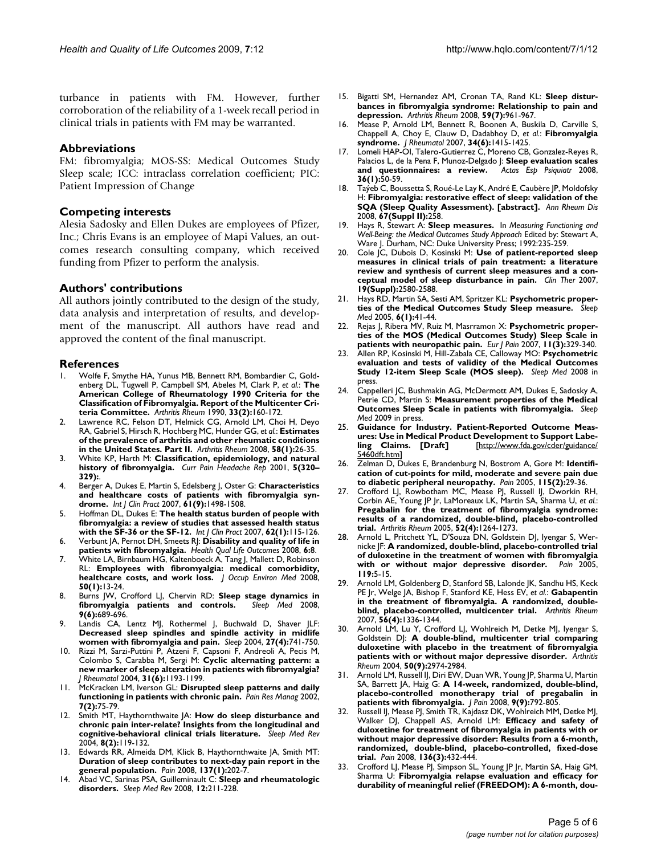turbance in patients with FM. However, further corroboration of the reliability of a 1-week recall period in clinical trials in patients with FM may be warranted.

#### **Abbreviations**

FM: fibromyalgia; MOS-SS: Medical Outcomes Study Sleep scale; ICC: intraclass correlation coefficient; PIC: Patient Impression of Change

#### **Competing interests**

Alesia Sadosky and Ellen Dukes are employees of Pfizer, Inc.; Chris Evans is an employee of Mapi Values, an outcomes research consulting company, which received funding from Pfizer to perform the analysis.

#### **Authors' contributions**

All authors jointly contributed to the design of the study, data analysis and interpretation of results, and development of the manuscript. All authors have read and approved the content of the final manuscript.

#### **References**

- <span id="page-4-0"></span>1. Wolfe F, Smythe HA, Yunus MB, Bennett RM, Bombardier C, Goldenberg DL, Tugwell P, Campbell SM, Abeles M, Clark P, *et al.*: **[The](http://www.ncbi.nlm.nih.gov/entrez/query.fcgi?cmd=Retrieve&db=PubMed&dopt=Abstract&list_uids=2306288) [American College of Rheumatology 1990 Criteria for the](http://www.ncbi.nlm.nih.gov/entrez/query.fcgi?cmd=Retrieve&db=PubMed&dopt=Abstract&list_uids=2306288) Classification of Fibromyalgia. Report of the Multicenter Cri[teria Committee.](http://www.ncbi.nlm.nih.gov/entrez/query.fcgi?cmd=Retrieve&db=PubMed&dopt=Abstract&list_uids=2306288)** *Arthritis Rheum* 1990, **33(2):**160-172.
- <span id="page-4-1"></span>2. Lawrence RC, Felson DT, Helmick CG, Arnold LM, Choi H, Deyo RA, Gabriel S, Hirsch R, Hochberg MC, Hunder GG, *et al.*: **[Estimates](http://www.ncbi.nlm.nih.gov/entrez/query.fcgi?cmd=Retrieve&db=PubMed&dopt=Abstract&list_uids=18163497) [of the prevalence of arthritis and other rheumatic conditions](http://www.ncbi.nlm.nih.gov/entrez/query.fcgi?cmd=Retrieve&db=PubMed&dopt=Abstract&list_uids=18163497) [in the United States. Part II.](http://www.ncbi.nlm.nih.gov/entrez/query.fcgi?cmd=Retrieve&db=PubMed&dopt=Abstract&list_uids=18163497)** *Arthritis Rheum* 2008, **58(1):**26-35.
- <span id="page-4-2"></span>3. White KP, Harth M: **[Classification, epidemiology, and natural](http://www.ncbi.nlm.nih.gov/entrez/query.fcgi?cmd=Retrieve&db=PubMed&dopt=Abstract&list_uids=11403735) [history of fibromyalgia.](http://www.ncbi.nlm.nih.gov/entrez/query.fcgi?cmd=Retrieve&db=PubMed&dopt=Abstract&list_uids=11403735)** *Curr Pain Headache Rep* 2001, **5(320– 329):**.
- <span id="page-4-3"></span>4. Berger A, Dukes E, Martin S, Edelsberg J, Oster G: **[Characteristics](http://www.ncbi.nlm.nih.gov/entrez/query.fcgi?cmd=Retrieve&db=PubMed&dopt=Abstract&list_uids=17655684) [and healthcare costs of patients with fibromyalgia syn](http://www.ncbi.nlm.nih.gov/entrez/query.fcgi?cmd=Retrieve&db=PubMed&dopt=Abstract&list_uids=17655684)[drome.](http://www.ncbi.nlm.nih.gov/entrez/query.fcgi?cmd=Retrieve&db=PubMed&dopt=Abstract&list_uids=17655684)** *Int J Clin Pract* 2007, **61(9):**1498-1508.
- 5. Hoffman DL, Dukes E: **[The health status burden of people with](http://www.ncbi.nlm.nih.gov/entrez/query.fcgi?cmd=Retrieve&db=PubMed&dopt=Abstract&list_uids=18039330) [fibromyalgia: a review of studies that assessed health status](http://www.ncbi.nlm.nih.gov/entrez/query.fcgi?cmd=Retrieve&db=PubMed&dopt=Abstract&list_uids=18039330) [with the SF-36 or the SF-12.](http://www.ncbi.nlm.nih.gov/entrez/query.fcgi?cmd=Retrieve&db=PubMed&dopt=Abstract&list_uids=18039330)** *Int J Clin Pract* 2007, **62(1):**115-126.
- 6. Verbunt JA, Pernot DH, Smeets RJ: **[Disability and quality of life in](http://www.ncbi.nlm.nih.gov/entrez/query.fcgi?cmd=Retrieve&db=PubMed&dopt=Abstract&list_uids=18211701) [patients with fibromyalgia.](http://www.ncbi.nlm.nih.gov/entrez/query.fcgi?cmd=Retrieve&db=PubMed&dopt=Abstract&list_uids=18211701)** *Health Qual Life Outcomes* 2008, **6:**8.
- <span id="page-4-4"></span>7. White LA, Birnbaum HG, Kaltenboeck A, Tang J, Mallett D, Robinson RL: **[Employees with fibromyalgia: medical comorbidity,](http://www.ncbi.nlm.nih.gov/entrez/query.fcgi?cmd=Retrieve&db=PubMed&dopt=Abstract&list_uids=18188077) [healthcare costs, and work loss.](http://www.ncbi.nlm.nih.gov/entrez/query.fcgi?cmd=Retrieve&db=PubMed&dopt=Abstract&list_uids=18188077)** *J Occup Environ Med* 2008, **50(1):**13-24.
- <span id="page-4-5"></span>8. Burns JW, Crofford LJ, Chervin RD: **[Sleep stage dynamics in](http://www.ncbi.nlm.nih.gov/entrez/query.fcgi?cmd=Retrieve&db=PubMed&dopt=Abstract&list_uids=18314389)** [fibromyalgia patients and controls.](http://www.ncbi.nlm.nih.gov/entrez/query.fcgi?cmd=Retrieve&db=PubMed&dopt=Abstract&list_uids=18314389) **9(6):**689-696.
- Landis CA, Lentz MJ, Rothermel J, Buchwald D, Shaver JLF: **[Decreased sleep spindles and spindle activity in midlife](http://www.ncbi.nlm.nih.gov/entrez/query.fcgi?cmd=Retrieve&db=PubMed&dopt=Abstract&list_uids=15283010) [women with fibromyalgia and pain.](http://www.ncbi.nlm.nih.gov/entrez/query.fcgi?cmd=Retrieve&db=PubMed&dopt=Abstract&list_uids=15283010)** *Sleep* 2004, **27(4):**741-750.
- <span id="page-4-6"></span>10. Rizzi M, Sarzi-Puttini P, Atzeni F, Capsoni F, Andreoli A, Pecis M, Colombo S, Carabba M, Sergi M: **[Cyclic alternating pattern: a](http://www.ncbi.nlm.nih.gov/entrez/query.fcgi?cmd=Retrieve&db=PubMed&dopt=Abstract&list_uids=15170935) [new marker of sleep alteration in patients with fibromyalgia?](http://www.ncbi.nlm.nih.gov/entrez/query.fcgi?cmd=Retrieve&db=PubMed&dopt=Abstract&list_uids=15170935)** *J Rheumatol* 2004, **31(6):**1193-1199.
- <span id="page-4-7"></span>11. McKracken LM, Iverson GL: **[Disrupted sleep patterns and daily](http://www.ncbi.nlm.nih.gov/entrez/query.fcgi?cmd=Retrieve&db=PubMed&dopt=Abstract&list_uids=12185371) [functioning in patients with chronic pain.](http://www.ncbi.nlm.nih.gov/entrez/query.fcgi?cmd=Retrieve&db=PubMed&dopt=Abstract&list_uids=12185371)** *Pain Res Manag* 2002, **7(2):**75-79.
- 12. Smith MT, Haythornthwaite JA: **[How do sleep disturbance and](http://www.ncbi.nlm.nih.gov/entrez/query.fcgi?cmd=Retrieve&db=PubMed&dopt=Abstract&list_uids=15033151) [chronic pain inter-relate? Insights from the longitudinal and](http://www.ncbi.nlm.nih.gov/entrez/query.fcgi?cmd=Retrieve&db=PubMed&dopt=Abstract&list_uids=15033151) [cognitive-behavioral clinical trials literature.](http://www.ncbi.nlm.nih.gov/entrez/query.fcgi?cmd=Retrieve&db=PubMed&dopt=Abstract&list_uids=15033151)** *Sleep Med Rev* 2004, **8(2):**119-132.
- <span id="page-4-8"></span>Edwards RR, Almeida DM, Klick B, Haythornthwaite JA, Smith MT: **[Duration of sleep contributes to next-day pain report in the](http://www.ncbi.nlm.nih.gov/entrez/query.fcgi?cmd=Retrieve&db=PubMed&dopt=Abstract&list_uids=18434020) [general population.](http://www.ncbi.nlm.nih.gov/entrez/query.fcgi?cmd=Retrieve&db=PubMed&dopt=Abstract&list_uids=18434020)** *Pain* 2008, **137(1):**202-7.
- <span id="page-4-9"></span>14. Abad VC, Sarinas PSA, Guilleminault C: **[Sleep and rheumatologic](http://www.ncbi.nlm.nih.gov/entrez/query.fcgi?cmd=Retrieve&db=PubMed&dopt=Abstract&list_uids=18486034) [disorders.](http://www.ncbi.nlm.nih.gov/entrez/query.fcgi?cmd=Retrieve&db=PubMed&dopt=Abstract&list_uids=18486034)** *Sleep Med Rev* 2008, **12:**211-228.
- <span id="page-4-10"></span>15. Bigatti SM, Hernandez AM, Cronan TA, Rand KL: **[Sleep distur](http://www.ncbi.nlm.nih.gov/entrez/query.fcgi?cmd=Retrieve&db=PubMed&dopt=Abstract&list_uids=18576297)[bances in fibromyalgia syndrome: Relationship to pain and](http://www.ncbi.nlm.nih.gov/entrez/query.fcgi?cmd=Retrieve&db=PubMed&dopt=Abstract&list_uids=18576297) [depression.](http://www.ncbi.nlm.nih.gov/entrez/query.fcgi?cmd=Retrieve&db=PubMed&dopt=Abstract&list_uids=18576297)** *Arthritis Rheum* 2008, **59(7):**961-967.
- <span id="page-4-11"></span>16. Mease P, Arnold LM, Bennett R, Boonen A, Buskila D, Carville S, Chappell A, Choy E, Clauw D, Dadabhoy D, *et al.*: **[Fibromyalgia](http://www.ncbi.nlm.nih.gov/entrez/query.fcgi?cmd=Retrieve&db=PubMed&dopt=Abstract&list_uids=17552068) [syndrome.](http://www.ncbi.nlm.nih.gov/entrez/query.fcgi?cmd=Retrieve&db=PubMed&dopt=Abstract&list_uids=17552068)** *J Rheumatol* 2007, **34(6):**1415-1425.
- <span id="page-4-12"></span>17. Lomeli HAP-OI, Talero-Gutierrez C, Moreno CB, Gonzalez-Reyes R, Palacios L, de la Pena F, Munoz-Delgado J: **[Sleep evaluation scales](http://www.ncbi.nlm.nih.gov/entrez/query.fcgi?cmd=Retrieve&db=PubMed&dopt=Abstract&list_uids=18286400)** [and questionnaires: a review.](http://www.ncbi.nlm.nih.gov/entrez/query.fcgi?cmd=Retrieve&db=PubMed&dopt=Abstract&list_uids=18286400) **36(1):**50-59.
- <span id="page-4-13"></span>18. Taýeb C, Boussetta S, Roué-Le Lay K, André E, Caubère JP, Moldofsky H: **Fibromyalgia: restorative effect of sleep: validation of the SQA (Sleep Quality Assessment). [abstract].** *Ann Rheum Dis* 2008, **67(Suppl II):**258.
- <span id="page-4-14"></span>19. Hays R, Stewart A: **Sleep measures.** In *Measuring Functioning and Well-Being: the Medical Outcomes Study Approach* Edited by: Stewart A, Ware J. Durham, NC: Duke University Press; 1992:235-259.
- <span id="page-4-15"></span>20. Cole JC, Dubois D, Kosinski M: **Use of patient-reported sleep measures in clinical trials of pain treatment: a literature review and synthesis of current sleep measures and a conceptual model of sleep disturbance in pain.** *Clin Ther* 2007, **19(Suppl):**2580-2588.
- <span id="page-4-16"></span>21. Hays RD, Martin SA, Sesti AM, Spritzer KL: **[Psychometric proper](http://www.ncbi.nlm.nih.gov/entrez/query.fcgi?cmd=Retrieve&db=PubMed&dopt=Abstract&list_uids=15680294)[ties of the Medical Outcomes Study Sleep measure.](http://www.ncbi.nlm.nih.gov/entrez/query.fcgi?cmd=Retrieve&db=PubMed&dopt=Abstract&list_uids=15680294)** *Sleep Med* 2005, **6(1):**41-44.
- <span id="page-4-17"></span>22. Rejas J, Ribera MV, Ruiz M, Masrramon X: **[Psychometric proper](http://www.ncbi.nlm.nih.gov/entrez/query.fcgi?cmd=Retrieve&db=PubMed&dopt=Abstract&list_uids=16765622)[ties of the MOS \(Medical Outcomes Study\) Sleep Scale in](http://www.ncbi.nlm.nih.gov/entrez/query.fcgi?cmd=Retrieve&db=PubMed&dopt=Abstract&list_uids=16765622) [patients with neuropathic pain.](http://www.ncbi.nlm.nih.gov/entrez/query.fcgi?cmd=Retrieve&db=PubMed&dopt=Abstract&list_uids=16765622)** *Eur J Pain* 2007, **11(3):**329-340.
- <span id="page-4-18"></span>23. Allen RP, Kosinski M, Hill-Zabala CE, Calloway MO: **[Psychometric](http://www.ncbi.nlm.nih.gov/entrez/query.fcgi?cmd=Retrieve&db=PubMed&dopt=Abstract&list_uids=18805054 ) [evaluation and tests of validity of the Medical Outcomes](http://www.ncbi.nlm.nih.gov/entrez/query.fcgi?cmd=Retrieve&db=PubMed&dopt=Abstract&list_uids=18805054 ) [Study 12-item Sleep Scale \(MOS sleep\).](http://www.ncbi.nlm.nih.gov/entrez/query.fcgi?cmd=Retrieve&db=PubMed&dopt=Abstract&list_uids=18805054 )** *Sleep Med* 2008 in press.
- <span id="page-4-19"></span>24. Cappelleri JC, Bushmakin AG, McDermott AM, Dukes E, Sadosky A, Petrie CD, Martin S: **[Measurement properties of the Medical](http://www.ncbi.nlm.nih.gov/entrez/query.fcgi?cmd=Retrieve&db=PubMed&dopt=Abstract&list_uids=19185539) [Outcomes Sleep Scale in patients with fibromyalgia.](http://www.ncbi.nlm.nih.gov/entrez/query.fcgi?cmd=Retrieve&db=PubMed&dopt=Abstract&list_uids=19185539)** *Sleep Med* 2009 in press.
- <span id="page-4-20"></span>25. **Guidance for Industry. Patient-Reported Outcome Measures: Use in Medical Product Development to Support Labeling Claims. [Draft]** [[http://www.fda.gov/cder/guidance/](http://www.fda.gov/cder/guidance/5460dft.htm) [5460dft.htm](http://www.fda.gov/cder/guidance/5460dft.htm)]
- <span id="page-4-21"></span>26. Zelman D, Dukes E, Brandenburg N, Bostrom A, Gore M: **[Identifi](http://www.ncbi.nlm.nih.gov/entrez/query.fcgi?cmd=Retrieve&db=PubMed&dopt=Abstract&list_uids=15836967)[cation of cut-points for mild, moderate and severe pain due](http://www.ncbi.nlm.nih.gov/entrez/query.fcgi?cmd=Retrieve&db=PubMed&dopt=Abstract&list_uids=15836967) [to diabetic peripheral neuropathy.](http://www.ncbi.nlm.nih.gov/entrez/query.fcgi?cmd=Retrieve&db=PubMed&dopt=Abstract&list_uids=15836967)** *Pain* 2005, **115(2):**29-36.
- <span id="page-4-22"></span>27. Crofford LJ, Rowbotham MC, Mease PJ, Russell IJ, Dworkin RH, Corbin AE, Young JP Jr, LaMoreaux LK, Martin SA, Sharma U, *et al.*: **[Pregabalin for the treatment of fibromyalgia syndrome:](http://www.ncbi.nlm.nih.gov/entrez/query.fcgi?cmd=Retrieve&db=PubMed&dopt=Abstract&list_uids=15818684) results of a randomized, double-blind, placebo-controlled [trial.](http://www.ncbi.nlm.nih.gov/entrez/query.fcgi?cmd=Retrieve&db=PubMed&dopt=Abstract&list_uids=15818684)** *Arthritis Rheum* 2005, **52(4):**1264-1273.
- 28. Arnold L, Pritchett YL, D'Souza DN, Goldstein DJ, Iyengar S, Wernicke JF: **[A randomized, double-blind, placebo-controlled trial](http://www.ncbi.nlm.nih.gov/entrez/query.fcgi?cmd=Retrieve&db=PubMed&dopt=Abstract&list_uids=16298061) [of duloxetine in the treatment of women with fibromyalgia](http://www.ncbi.nlm.nih.gov/entrez/query.fcgi?cmd=Retrieve&db=PubMed&dopt=Abstract&list_uids=16298061) [with or without major depressive disorder.](http://www.ncbi.nlm.nih.gov/entrez/query.fcgi?cmd=Retrieve&db=PubMed&dopt=Abstract&list_uids=16298061)** *Pain* 2005, **119:**5-15.
- 29. Arnold LM, Goldenberg D, Stanford SB, Lalonde JK, Sandhu HS, Keck PE Jr, Welge JA, Bishop F, Stanford KE, Hess EV, *et al.*: **[Gabapentin](http://www.ncbi.nlm.nih.gov/entrez/query.fcgi?cmd=Retrieve&db=PubMed&dopt=Abstract&list_uids=17393438) [in the treatment of fibromyalgia. A randomized, double](http://www.ncbi.nlm.nih.gov/entrez/query.fcgi?cmd=Retrieve&db=PubMed&dopt=Abstract&list_uids=17393438)[blind, placebo-controlled, multicenter trial.](http://www.ncbi.nlm.nih.gov/entrez/query.fcgi?cmd=Retrieve&db=PubMed&dopt=Abstract&list_uids=17393438)** *Arthritis Rheum* 2007, **56(4):**1336-1344.
- 30. Arnold LM, Lu Y, Crofford LJ, Wohlreich M, Detke MJ, Iyengar S, Goldstein DJ: **[A double-blind, multicenter trial comparing](http://www.ncbi.nlm.nih.gov/entrez/query.fcgi?cmd=Retrieve&db=PubMed&dopt=Abstract&list_uids=15457467) [duloxetine with placebo in the treatment of fibromyalgia](http://www.ncbi.nlm.nih.gov/entrez/query.fcgi?cmd=Retrieve&db=PubMed&dopt=Abstract&list_uids=15457467) [patients with or without major depressive disorder.](http://www.ncbi.nlm.nih.gov/entrez/query.fcgi?cmd=Retrieve&db=PubMed&dopt=Abstract&list_uids=15457467)** *Arthritis Rheum* 2004, **50(9):**2974-2984.
- 31. Arnold LM, Russell IJ, Diri EW, Duan WR, Young JP, Sharma U, Martin SA, Barrett JA, Haig G: **[A 14-week, randomized, double-blind,](http://www.ncbi.nlm.nih.gov/entrez/query.fcgi?cmd=Retrieve&db=PubMed&dopt=Abstract&list_uids=18524684) [placebo-controlled monotherapy trial of pregabalin in](http://www.ncbi.nlm.nih.gov/entrez/query.fcgi?cmd=Retrieve&db=PubMed&dopt=Abstract&list_uids=18524684) [patients with fibromyalgia.](http://www.ncbi.nlm.nih.gov/entrez/query.fcgi?cmd=Retrieve&db=PubMed&dopt=Abstract&list_uids=18524684)** *J Pain* 2008, **9(9):**792-805.
- Russell IJ, Mease PJ, Smith TR, Kajdasz DK, Wohlreich MM, Detke MJ, Walker DJ, Chappell AS, Arnold LM: **[Efficacy and safety of](http://www.ncbi.nlm.nih.gov/entrez/query.fcgi?cmd=Retrieve&db=PubMed&dopt=Abstract&list_uids=18395345) [duloxetine for treatment of fibromyalgia in patients with or](http://www.ncbi.nlm.nih.gov/entrez/query.fcgi?cmd=Retrieve&db=PubMed&dopt=Abstract&list_uids=18395345) without major depressive disorder: Results from a 6-month, randomized, double-blind, placebo-controlled, fixed-dose [trial.](http://www.ncbi.nlm.nih.gov/entrez/query.fcgi?cmd=Retrieve&db=PubMed&dopt=Abstract&list_uids=18395345)** *Pain* 2008, **136(3):**432-444.
- <span id="page-4-23"></span>Crofford LJ, Mease PJ, Simpson SL, Young JP Jr, Martin SA, Haig GM, Sharma U: **[Fibromyalgia relapse evaluation and efficacy for](http://www.ncbi.nlm.nih.gov/entrez/query.fcgi?cmd=Retrieve&db=PubMed&dopt=Abstract&list_uids=18400400) [durability of meaningful relief \(FREEDOM\): A 6-month, dou](http://www.ncbi.nlm.nih.gov/entrez/query.fcgi?cmd=Retrieve&db=PubMed&dopt=Abstract&list_uids=18400400)-**